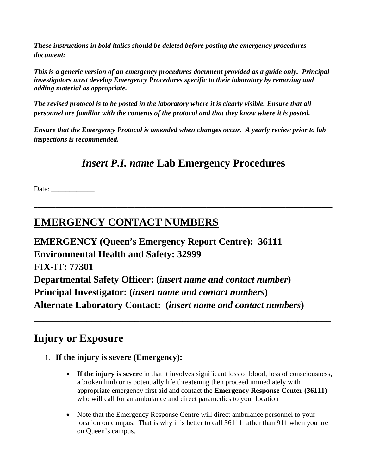*These instructions in bold italics should be deleted before posting the emergency procedures document:* 

*This is a generic version of an emergency procedures document provided as a guide only. Principal investigators must develop Emergency Procedures specific to their laboratory by removing and adding material as appropriate.* 

*The revised protocol is to be posted in the laboratory where it is clearly visible. Ensure that all personnel are familiar with the contents of the protocol and that they know where it is posted.* 

*Ensure that the Emergency Protocol is amended when changes occur. A yearly review prior to lab inspections is recommended.*

## *Insert P.I. name* **Lab Emergency Procedures**

**\_\_\_\_\_\_\_\_\_\_\_\_\_\_\_\_\_\_\_\_\_\_\_\_\_\_\_\_\_\_\_\_\_\_\_\_\_\_\_\_\_\_\_\_\_\_\_\_\_\_\_\_\_\_\_\_\_\_\_\_\_\_\_\_\_\_\_\_\_\_\_\_\_\_\_\_\_\_\_\_\_\_\_** 

**\_\_\_\_\_\_\_\_\_\_\_\_\_\_\_\_\_\_\_\_\_\_\_\_\_\_\_\_\_\_\_\_\_\_\_\_\_\_\_\_\_\_\_\_\_\_\_\_\_\_\_\_\_\_\_\_\_\_\_\_\_\_** 

Date:

## **EMERGENCY CONTACT NUMBERS**

**EMERGENCY (Queen's Emergency Report Centre): 36111 Environmental Health and Safety: 32999 FIX-IT: 77301 Departmental Safety Officer: (***insert name and contact number***) Principal Investigator: (***insert name and contact numbers***) Alternate Laboratory Contact: (***insert name and contact numbers***)** 

### **Injury or Exposure**

- 1. **If the injury is severe (Emergency):**
	- **If the injury is severe** in that it involves significant loss of blood, loss of consciousness, a broken limb or is potentially life threatening then proceed immediately with appropriate emergency first aid and contact the **Emergency Response Center (36111)** who will call for an ambulance and direct paramedics to your location
	- Note that the Emergency Response Centre will direct ambulance personnel to your location on campus. That is why it is better to call 36111 rather than 911 when you are on Queen's campus.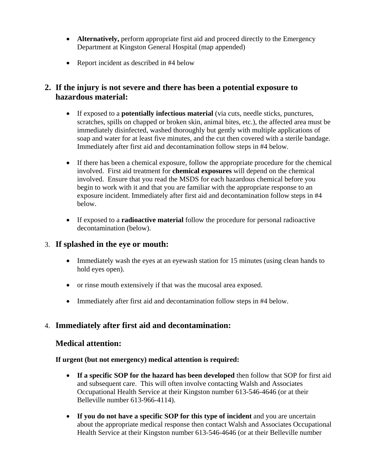- **Alternatively,** perform appropriate first aid and proceed directly to the Emergency Department at Kingston General Hospital (map appended)
- Report incident as described in #4 below

#### **2. If the injury is not severe and there has been a potential exposure to hazardous material:**

- If exposed to a **potentially infectious material** (via cuts, needle sticks, punctures, scratches, spills on chapped or broken skin, animal bites, etc.), the affected area must be immediately disinfected, washed thoroughly but gently with multiple applications of soap and water for at least five minutes, and the cut then covered with a sterile bandage. Immediately after first aid and decontamination follow steps in #4 below.
- If there has been a chemical exposure, follow the appropriate procedure for the chemical involved. First aid treatment for **chemical exposures** will depend on the chemical involved. Ensure that you read the MSDS for each hazardous chemical before you begin to work with it and that you are familiar with the appropriate response to an exposure incident. Immediately after first aid and decontamination follow steps in #4 below.
- If exposed to a **radioactive material** follow the procedure for personal radioactive decontamination (below).

#### 3. **If splashed in the eye or mouth:**

- Immediately wash the eyes at an eyewash station for 15 minutes (using clean hands to hold eyes open).
- or rinse mouth extensively if that was the mucosal area exposed.
- Immediately after first aid and decontamination follow steps in #4 below.

#### 4. **Immediately after first aid and decontamination:**

#### **Medical attention:**

#### **If urgent (but not emergency) medical attention is required:**

- **If a specific SOP for the hazard has been developed** then follow that SOP for first aid and subsequent care. This will often involve contacting Walsh and Associates Occupational Health Service at their Kingston number 613-546-4646 (or at their Belleville number 613-966-4114).
- **If you do not have a specific SOP for this type of incident** and you are uncertain about the appropriate medical response then contact Walsh and Associates Occupational Health Service at their Kingston number 613-546-4646 (or at their Belleville number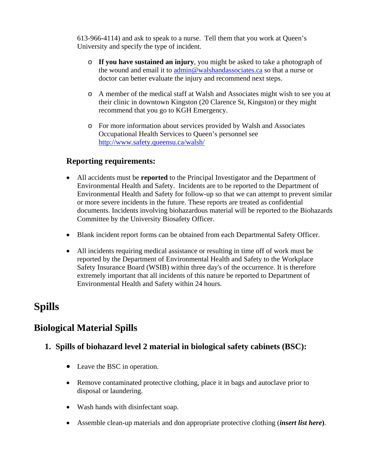613-966-4114) and ask to speak to a nurse. Tell them that you work at Queen's University and specify the type of incident.

- o **If you have sustained an injury**, you might be asked to take a photograph of the wound and email it to admin@walshandassociates.ca so that a nurse or doctor can better evaluate the injury and recommend next steps.
- o A member of the medical staff at Walsh and Associates might wish to see you at their clinic in downtown Kingston (20 Clarence St, Kingston) or they might recommend that you go to KGH Emergency.
- o For more information about services provided by Walsh and Associates Occupational Health Services to Queen's personnel see http://www.safety.queensu.ca/walsh/

#### **Reporting requirements:**

- All accidents must be **reported** to the Principal Investigator and the Department of Environmental Health and Safety. Incidents are to be reported to the Department of Environmental Health and Safety for follow-up so that we can attempt to prevent similar or more severe incidents in the future. These reports are treated as confidential documents. Incidents involving biohazardous material will be reported to the Biohazards Committee by the University Biosafety Officer.
- Blank incident report forms can be obtained from each Departmental Safety Officer.
- All incidents requiring medical assistance or resulting in time off of work must be reported by the Department of Environmental Health and Safety to the Workplace Safety Insurance Board (WSIB) within three day's of the occurrence. It is therefore extremely important that all incidents of this nature be reported to Department of Environmental Health and Safety within 24 hours.

# **Spills**

### **Biological Material Spills**

#### **1. Spills of biohazard level 2 material in biological safety cabinets (BSC):**

- Leave the BSC in operation.
- Remove contaminated protective clothing, place it in bags and autoclave prior to disposal or laundering.
- Wash hands with disinfectant soap.
- Assemble clean-up materials and don appropriate protective clothing (*insert list here***)**.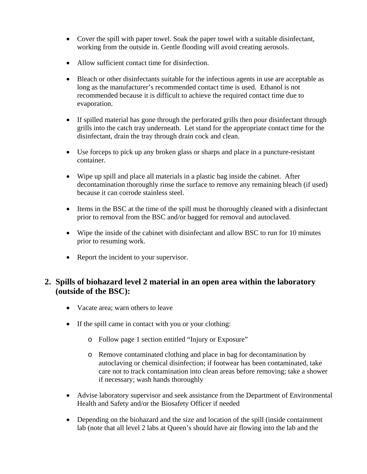- Cover the spill with paper towel. Soak the paper towel with a suitable disinfectant, working from the outside in. Gentle flooding will avoid creating aerosols.
- Allow sufficient contact time for disinfection.
- Bleach or other disinfectants suitable for the infectious agents in use are acceptable as long as the manufacturer's recommended contact time is used. Ethanol is not recommended because it is difficult to achieve the required contact time due to evaporation.
- If spilled material has gone through the perforated grills then pour disinfectant through grills into the catch tray underneath. Let stand for the appropriate contact time for the disinfectant, drain the tray through drain cock and clean.
- Use forceps to pick up any broken glass or sharps and place in a puncture-resistant container.
- Wipe up spill and place all materials in a plastic bag inside the cabinet. After decontamination thoroughly rinse the surface to remove any remaining bleach (if used) because it can corrode stainless steel.
- Items in the BSC at the time of the spill must be thoroughly cleaned with a disinfectant prior to removal from the BSC and/or bagged for removal and autoclaved.
- Wipe the inside of the cabinet with disinfectant and allow BSC to run for 10 minutes prior to resuming work.
- Report the incident to your supervisor.

#### **2. Spills of biohazard level 2 material in an open area within the laboratory (outside of the BSC):**

- Vacate area: warn others to leave
- If the spill came in contact with you or your clothing:
	- o Follow page 1 section entitled "Injury or Exposure"
	- o Remove contaminated clothing and place in bag for decontamination by autoclaving or chemical disinfection; if footwear has been contaminated, take care not to track contamination into clean areas before removing; take a shower if necessary; wash hands thoroughly
- Advise laboratory supervisor and seek assistance from the Department of Environmental Health and Safety and/or the Biosafety Officer if needed
- Depending on the biohazard and the size and location of the spill (inside containment lab (note that all level 2 labs at Queen's should have air flowing into the lab and the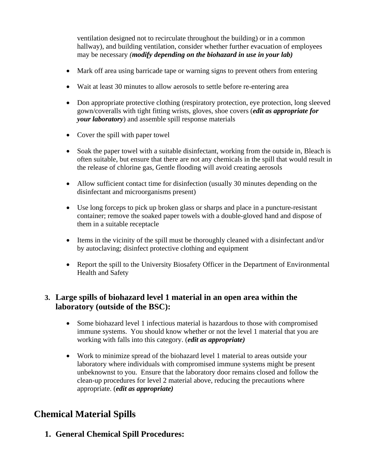ventilation designed not to recirculate throughout the building) or in a common hallway), and building ventilation, consider whether further evacuation of employees may be necessary *(modify depending on the biohazard in use in your lab)*

- Mark off area using barricade tape or warning signs to prevent others from entering
- Wait at least 30 minutes to allow aerosols to settle before re-entering area
- Don appropriate protective clothing (respiratory protection, eye protection, long sleeved gown/coveralls with tight fitting wrists, gloves, shoe covers (*edit as appropriate for your laboratory*) and assemble spill response materials
- Cover the spill with paper towel
- Soak the paper towel with a suitable disinfectant, working from the outside in, Bleach is often suitable, but ensure that there are not any chemicals in the spill that would result in the release of chlorine gas, Gentle flooding will avoid creating aerosols
- Allow sufficient contact time for disinfection (usually 30 minutes depending on the disinfectant and microorganisms present)
- Use long forceps to pick up broken glass or sharps and place in a puncture-resistant container; remove the soaked paper towels with a double-gloved hand and dispose of them in a suitable receptacle
- Items in the vicinity of the spill must be thoroughly cleaned with a disinfectant and/or by autoclaving; disinfect protective clothing and equipment
- Report the spill to the University Biosafety Officer in the Department of Environmental Health and Safety

#### **3. Large spills of biohazard level 1 material in an open area within the laboratory (outside of the BSC):**

- Some biohazard level 1 infectious material is hazardous to those with compromised immune systems. You should know whether or not the level 1 material that you are working with falls into this category. (*edit as appropriate)*
- Work to minimize spread of the biohazard level 1 material to areas outside your laboratory where individuals with compromised immune systems might be present unbeknownst to you. Ensure that the laboratory door remains closed and follow the clean-up procedures for level 2 material above, reducing the precautions where appropriate. (*edit as appropriate)*

### **Chemical Material Spills**

**1. General Chemical Spill Procedures:**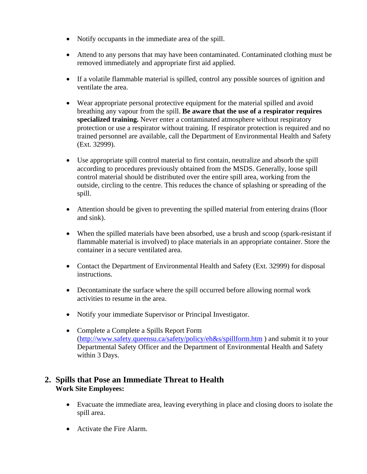- Notify occupants in the immediate area of the spill.
- Attend to any persons that may have been contaminated. Contaminated clothing must be removed immediately and appropriate first aid applied.
- If a volatile flammable material is spilled, control any possible sources of ignition and ventilate the area.
- Wear appropriate personal protective equipment for the material spilled and avoid breathing any vapour from the spill. **Be aware that the use of a respirator requires specialized training.** Never enter a contaminated atmosphere without respiratory protection or use a respirator without training. If respirator protection is required and no trained personnel are available, call the Department of Environmental Health and Safety (Ext. 32999).
- Use appropriate spill control material to first contain, neutralize and absorb the spill according to procedures previously obtained from the MSDS. Generally, loose spill control material should be distributed over the entire spill area, working from the outside, circling to the centre. This reduces the chance of splashing or spreading of the spill.
- Attention should be given to preventing the spilled material from entering drains (floor and sink).
- When the spilled materials have been absorbed, use a brush and scoop (spark-resistant if flammable material is involved) to place materials in an appropriate container. Store the container in a secure ventilated area.
- Contact the Department of Environmental Health and Safety (Ext. 32999) for disposal instructions.
- Decontaminate the surface where the spill occurred before allowing normal work activities to resume in the area.
- Notify your immediate Supervisor or Principal Investigator.
- Complete a Complete a Spills Report Form (http://www.safety.queensu.ca/safety/policy/eh&s/spillform.htm ) and submit it to your Departmental Safety Officer and the Department of Environmental Health and Safety within 3 Days.

#### **2. Spills that Pose an Immediate Threat to Health Work Site Employees:**

- Evacuate the immediate area, leaving everything in place and closing doors to isolate the spill area.
- Activate the Fire Alarm.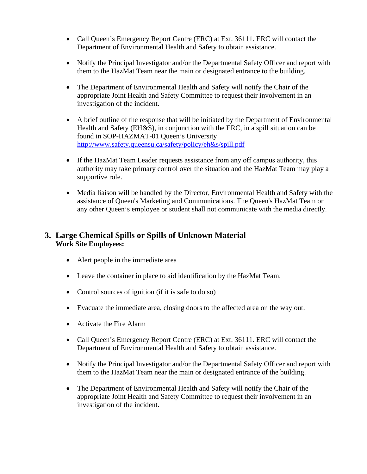- Call Queen's Emergency Report Centre (ERC) at Ext. 36111. ERC will contact the Department of Environmental Health and Safety to obtain assistance.
- Notify the Principal Investigator and/or the Departmental Safety Officer and report with them to the HazMat Team near the main or designated entrance to the building.
- The Department of Environmental Health and Safety will notify the Chair of the appropriate Joint Health and Safety Committee to request their involvement in an investigation of the incident.
- A brief outline of the response that will be initiated by the Department of Environmental Health and Safety (EH&S), in conjunction with the ERC, in a spill situation can be found in SOP-HAZMAT-01 Queen's University http://www.safety.queensu.ca/safety/policy/eh&s/spill.pdf
- If the HazMat Team Leader requests assistance from any off campus authority, this authority may take primary control over the situation and the HazMat Team may play a supportive role.
- Media liaison will be handled by the Director, Environmental Health and Safety with the assistance of Queen's Marketing and Communications. The Queen's HazMat Team or any other Queen's employee or student shall not communicate with the media directly.

#### **3. Large Chemical Spills or Spills of Unknown Material Work Site Employees:**

- Alert people in the immediate area
- Leave the container in place to aid identification by the HazMat Team.
- Control sources of ignition (if it is safe to do so)
- Evacuate the immediate area, closing doors to the affected area on the way out.
- Activate the Fire Alarm
- Call Queen's Emergency Report Centre (ERC) at Ext. 36111. ERC will contact the Department of Environmental Health and Safety to obtain assistance.
- Notify the Principal Investigator and/or the Departmental Safety Officer and report with them to the HazMat Team near the main or designated entrance of the building.
- The Department of Environmental Health and Safety will notify the Chair of the appropriate Joint Health and Safety Committee to request their involvement in an investigation of the incident.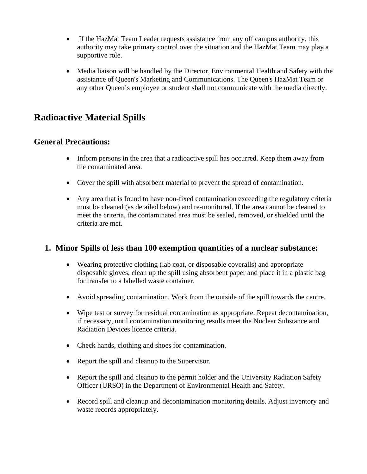- If the HazMat Team Leader requests assistance from any off campus authority, this authority may take primary control over the situation and the HazMat Team may play a supportive role.
- Media liaison will be handled by the Director, Environmental Health and Safety with the assistance of Queen's Marketing and Communications. The Queen's HazMat Team or any other Queen's employee or student shall not communicate with the media directly.

### **Radioactive Material Spills**

#### **General Precautions:**

- Inform persons in the area that a radioactive spill has occurred. Keep them away from the contaminated area.
- Cover the spill with absorbent material to prevent the spread of contamination.
- Any area that is found to have non-fixed contamination exceeding the regulatory criteria must be cleaned (as detailed below) and re-monitored. If the area cannot be cleaned to meet the criteria, the contaminated area must be sealed, removed, or shielded until the criteria are met.

#### **1. Minor Spills of less than 100 exemption quantities of a nuclear substance:**

- Wearing protective clothing (lab coat, or disposable coveralls) and appropriate disposable gloves, clean up the spill using absorbent paper and place it in a plastic bag for transfer to a labelled waste container.
- Avoid spreading contamination. Work from the outside of the spill towards the centre.
- Wipe test or survey for residual contamination as appropriate. Repeat decontamination, if necessary, until contamination monitoring results meet the Nuclear Substance and Radiation Devices licence criteria.
- Check hands, clothing and shoes for contamination.
- Report the spill and cleanup to the Supervisor.
- Report the spill and cleanup to the permit holder and the University Radiation Safety Officer (URSO) in the Department of Environmental Health and Safety.
- Record spill and cleanup and decontamination monitoring details. Adjust inventory and waste records appropriately.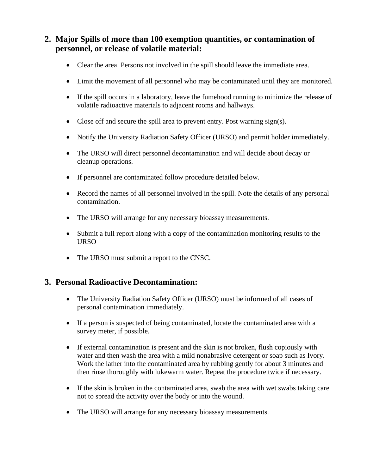#### **2. Major Spills of more than 100 exemption quantities, or contamination of personnel, or release of volatile material:**

- Clear the area. Persons not involved in the spill should leave the immediate area.
- Limit the movement of all personnel who may be contaminated until they are monitored.
- If the spill occurs in a laboratory, leave the fumehood running to minimize the release of volatile radioactive materials to adjacent rooms and hallways.
- Close off and secure the spill area to prevent entry. Post warning sign(s).
- Notify the University Radiation Safety Officer (URSO) and permit holder immediately.
- The URSO will direct personnel decontamination and will decide about decay or cleanup operations.
- If personnel are contaminated follow procedure detailed below.
- Record the names of all personnel involved in the spill. Note the details of any personal contamination.
- The URSO will arrange for any necessary bioassay measurements.
- Submit a full report along with a copy of the contamination monitoring results to the URSO
- The URSO must submit a report to the CNSC.

#### **3. Personal Radioactive Decontamination:**

- The University Radiation Safety Officer (URSO) must be informed of all cases of personal contamination immediately.
- If a person is suspected of being contaminated, locate the contaminated area with a survey meter, if possible.
- If external contamination is present and the skin is not broken, flush copiously with water and then wash the area with a mild nonabrasive detergent or soap such as Ivory. Work the lather into the contaminated area by rubbing gently for about 3 minutes and then rinse thoroughly with lukewarm water. Repeat the procedure twice if necessary.
- If the skin is broken in the contaminated area, swab the area with wet swabs taking care not to spread the activity over the body or into the wound.
- The URSO will arrange for any necessary bioassay measurements.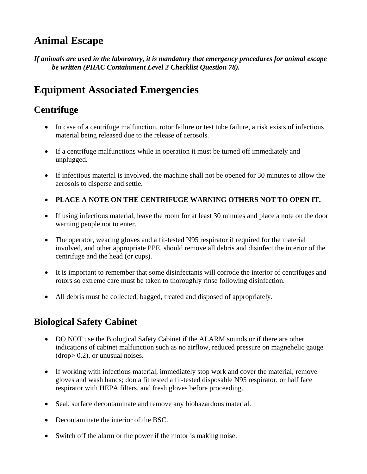# **Animal Escape**

*If animals are used in the laboratory, it is mandatory that emergency procedures for animal escape be written (PHAC Containment Level 2 Checklist Question 78).* 

# **Equipment Associated Emergencies**

## **Centrifuge**

- In case of a centrifuge malfunction, rotor failure or test tube failure, a risk exists of infectious material being released due to the release of aerosols.
- If a centrifuge malfunctions while in operation it must be turned off immediately and unplugged.
- If infectious material is involved, the machine shall not be opened for 30 minutes to allow the aerosols to disperse and settle.
- **PLACE A NOTE ON THE CENTRIFUGE WARNING OTHERS NOT TO OPEN IT.**
- If using infectious material, leave the room for at least 30 minutes and place a note on the door warning people not to enter.
- The operator, wearing gloves and a fit-tested N95 respirator if required for the material involved, and other appropriate PPE, should remove all debris and disinfect the interior of the centrifuge and the head (or cups).
- It is important to remember that some disinfectants will corrode the interior of centrifuges and rotors so extreme care must be taken to thoroughly rinse following disinfection.
- All debris must be collected, bagged, treated and disposed of appropriately.

## **Biological Safety Cabinet**

- DO NOT use the Biological Safety Cabinet if the ALARM sounds or if there are other indications of cabinet malfunction such as no airflow, reduced pressure on magnehelic gauge (drop> 0.2), or unusual noises.
- If working with infectious material, immediately stop work and cover the material; remove gloves and wash hands; don a fit tested a fit-tested disposable N95 respirator, or half face respirator with HEPA filters, and fresh gloves before proceeding.
- Seal, surface decontaminate and remove any biohazardous material.
- Decontaminate the interior of the BSC.
- Switch off the alarm or the power if the motor is making noise.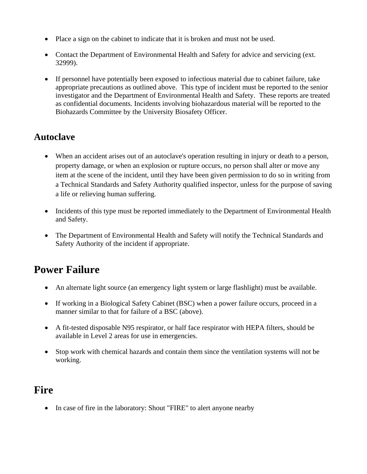- Place a sign on the cabinet to indicate that it is broken and must not be used.
- Contact the Department of Environmental Health and Safety for advice and servicing (ext. 32999).
- If personnel have potentially been exposed to infectious material due to cabinet failure, take appropriate precautions as outlined above. This type of incident must be reported to the senior investigator and the Department of Environmental Health and Safety. These reports are treated as confidential documents. Incidents involving biohazardous material will be reported to the Biohazards Committee by the University Biosafety Officer.

### **Autoclave**

- When an accident arises out of an autoclave's operation resulting in injury or death to a person, property damage, or when an explosion or rupture occurs, no person shall alter or move any item at the scene of the incident, until they have been given permission to do so in writing from a Technical Standards and Safety Authority qualified inspector, unless for the purpose of saving a life or relieving human suffering.
- Incidents of this type must be reported immediately to the Department of Environmental Health and Safety.
- The Department of Environmental Health and Safety will notify the Technical Standards and Safety Authority of the incident if appropriate.

# **Power Failure**

- An alternate light source (an emergency light system or large flashlight) must be available.
- If working in a Biological Safety Cabinet (BSC) when a power failure occurs, proceed in a manner similar to that for failure of a BSC (above).
- A fit-tested disposable N95 respirator, or half face respirator with HEPA filters, should be available in Level 2 areas for use in emergencies.
- Stop work with chemical hazards and contain them since the ventilation systems will not be working.

## **Fire**

• In case of fire in the laboratory: Shout "FIRE" to alert anyone nearby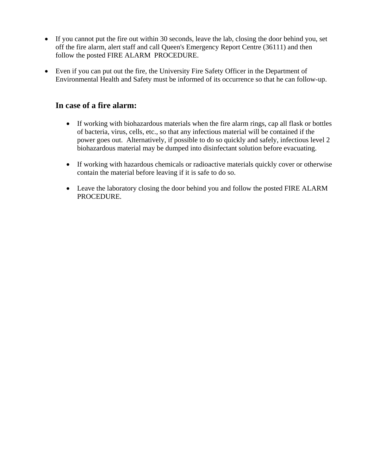- If you cannot put the fire out within 30 seconds, leave the lab, closing the door behind you, set off the fire alarm, alert staff and call Queen's Emergency Report Centre (36111) and then follow the posted FIRE ALARM PROCEDURE.
- Even if you can put out the fire, the University Fire Safety Officer in the Department of Environmental Health and Safety must be informed of its occurrence so that he can follow-up.

#### **In case of a fire alarm:**

- If working with biohazardous materials when the fire alarm rings, cap all flask or bottles of bacteria, virus, cells, etc., so that any infectious material will be contained if the power goes out. Alternatively, if possible to do so quickly and safely, infectious level 2 biohazardous material may be dumped into disinfectant solution before evacuating.
- If working with hazardous chemicals or radioactive materials quickly cover or otherwise contain the material before leaving if it is safe to do so.
- Leave the laboratory closing the door behind you and follow the posted FIRE ALARM PROCEDURE.